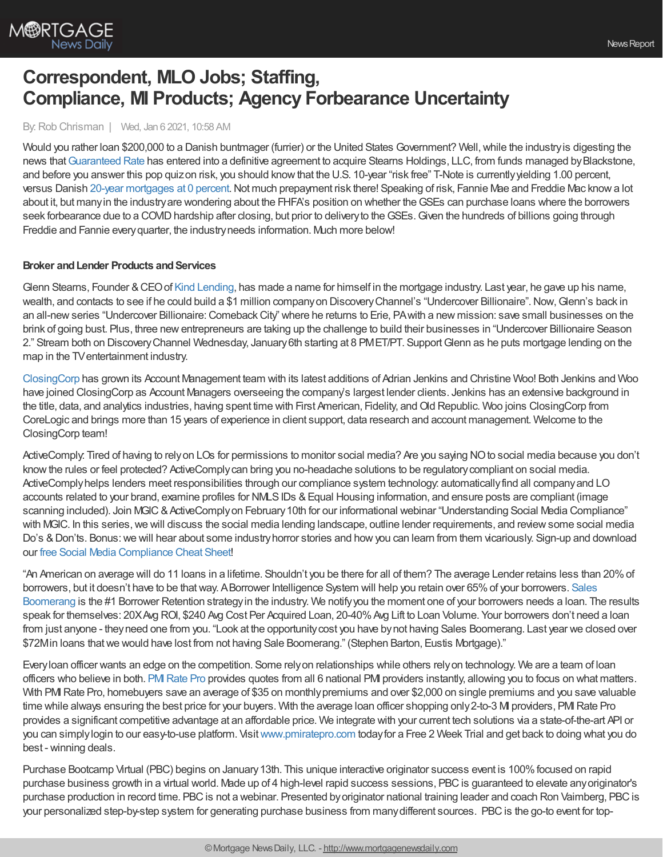

# **Correspondent, MLO Jobs; Staffing, Compliance, MI Products; Agency Forbearance Uncertainty**

#### By:Rob Chrisman | Wed, Jan 6 2021, 10:58 AM

Would you rather loan \$200,000 to a Danish buntmager (furrier) or the United States Government? Well, while the industry is digesting the news that [Guaranteed](https://www.rate.com/) Rate has entered into a definitive agreement to acquire Stearns Holdings, LLC, from funds managed by Blackstone, and before you answer this pop quizon risk, you should know that the U.S. 10-year "risk free" T-Note is currently yielding 1.00 percent, versus Danish 20-year [mortgages](https://www.afr.com/property/residential/danes-get-20-year-0-per-cent-mortgages-20210106-p56rzk) at 0 percent. Not much prepayment risk there! Speaking of risk, Fannie Mae and Freddie Mac know a lot about it, but many in the industry are wondering about the FHFA's position on whether the GSEs can purchase loans where the borrowers seek forbearance due to a COVID hardship after closing, but prior to delivery to the GSEs. Given the hundreds of billions going through Freddie and Fannie every quarter, the industry needs information. Much more below!

# **Broker** and Lender Products and Services

Glenn Stearns, Founder &CEOof Kind [Lending](https://www.kindlending.com/), has made a name for himself in the mortgage industry. Last year, he gave up his name, wealth, and contacts to see if he could build a \$1 million company on Discovery Channel's "Undercover Billionaire". Now, Glenn's back in an all-new series "Undercover Billionaire: Comeback City" where he returns to Erie, PA with a new mission: save small businesses on the brink of going bust. Plus, three newentrepreneurs are taking up the challenge to build their businesses in "Undercover Billionaire Season 2." Stream both on DiscoveryChannel Wednesday, January6th starting at 8 PMET/PT. SupportGlenn as he puts mortgage lending on the map in the TVentertainment industry.

[ClosingCorp](http://www.closing.com/) has grown its Account Management team with its latest additions of Adrian Jenkins and Christine Woo! Both Jenkins and Woo have joined ClosingCorp as Account Managers overseeing the company's largest lender clients. Jenkins has an extensive background in the title, data, and analytics industries, having spent time with First American, Fidelity, and Old Republic. Woo joins ClosingCorp from CoreLogic and brings more than 15 years of experience in client support, data research and account management. Welcome to the ClosingCorp team!

ActiveComply: Tired of having to relyon LOs for permissions to monitor social media? Are you saying NOto social media because you don't knowthe rules or feel protected? ActiveComplycan bring you no-headache solutions to be regulatorycompliant on social media. ActiveComplyhelps lenders meet responsibilities through our compliance system technology: automaticallyfind all companyand LO accounts related to your brand, examine profiles for NMLSIDs &Equal Housing information, and ensure posts are compliant (image scanning included). Join MGIC & ActiveComply on February 10th for our informational webinar "Understanding Social Media Compliance" with MGIC. In this series, we will discuss the social media lending landscape, outline lender requirements, and review some social media Do's & Don'ts. Bonus: we will hear about some industry horror stories and how you can learn from them vicariously. Sign-up and download our free Social Media [Compliance](https://www.activecomply.com/cheat-sheet-download-for-loan-officers?utm_source=newsletter&utm_medium=email&utm_campaign=Chrisman1.6.21&utm_content=Cheat%20Sheet) Cheat Sheet!

"An American on average will do 11 loans in a lifetime. Shouldn't you be there for all of them? The average Lender retains less than 20%of borrowers, but it doesn't have to be thatway. ABorrower Intelligence System will help you retain over 65%of your borrowers. Sales [Boomerang](https://hubs.ly/H0sx4pt0) is the #1 Borrower Retention strategyin the industry. We notifyyou the moment one of your borrowers needs a loan. The results speak for themselves: 20XAvg ROI, \$240 Avg Cost Per Acquired Loan, 20-40%Avg Lift to Loan Volume. Your borrowers don't need a loan from just anyone - they need one from you. "Look at the opportunity cost you have by not having Sales Boomerang. Last year we closed over \$72Min loans that we would have lost from not having Sale Boomerang." (Stephen Barton, Eustis Mortgage)."

Everyloan officer wants an edge on the competition. Some relyon relationships while others relyon technology. We are a team of loan officers who believe in both. [PMIRate](http://www.pmiratepro.com/) Pro provides quotes from all 6 national PMI providers instantly, allowing you to focus on what matters. With PMI Rate Pro, homebuyers save an average of \$35 on monthly premiums and over \$2,000 on single premiums and you save valuable time while always ensuring the best price for your buyers. With the average loan officer shopping only 2-to-3 MI providers, PMI Rate Pro provides a significant competitive advantage at an affordable price. We integrate with your current tech solutions via a state-of-the-art API or you can simplylogin to our easy-to-use platform. Visit[www.pmiratepro.com](http://www.pmiratepro.com/) todayfor a Free 2 Week Trial and get back to doing what you do best - winning deals.

Purchase Bootcamp Virtual (PBC) begins on January 13th. This unique interactive originator success event is 100% focused on rapid purchase business growth in a virtual world. Made up of 4 high-level rapid success sessions, PBC is guaranteed to elevate any originator's purchase production in record time. PBC is not a webinar. Presented by originator national training leader and coach Ron Vaimberg, PBC is your personalized step-by-step system for generating purchase business from manydifferent sources. PBCis the go-to event for top-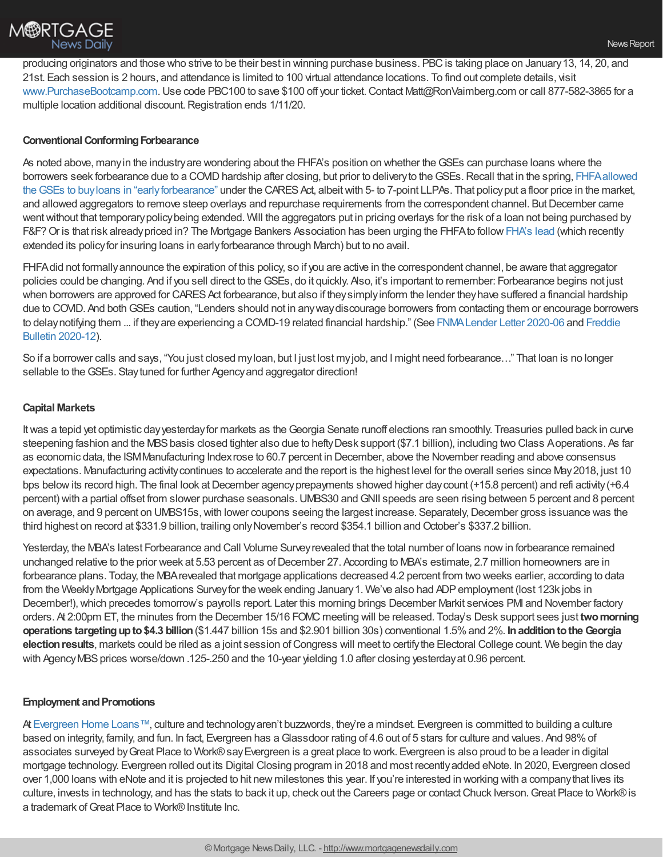

producing originators and those who strive to be their best in winning purchase business. PBC is taking place on January 13, 14, 20, and 21st. Each session is 2 hours, and attendance is limited to 100 virtual attendance locations. To find out complete details, visit [www.PurchaseBootcamp.com.](http://www.purchasebootcamp.com/) Use code PBC100 to save \$100 off your ticket. Contact Matt@RonVaimberg.com or call 877-582-3865 for a multiple location additional discount.Registration ends 1/11/20.

# **Conventional Conforming Forbearance**

As noted above, many in the industry are wondering about the FHFA's position on whether the GSEs can purchase loans where the borrowers seek forbearance due to a COVID hardship after closing, but prior to delivery to the GSEs. Recall that in the spring, FHFA allowed the GSEs to buyloans in "early forbearance" under the CARES Act, albeit with 5- to 7-point LLPAs. That policy put a floor price in the market, and allowed aggregators to remove steep overlays and repurchase requirements from the correspondent channel. But December came went without that temporary policy being extended. Will the aggregators put in pricing overlays for the risk of a loan not being purchased by F&F?Or is that risk alreadypriced in? The Mortgage Bankers Association has been urging the FHFAto follow[FHA's](https://www.hud.gov/press/press_releases_media_advisories/HUD_No_20_214) lead (which recently extended its policyfor insuring loans in earlyforbearance through March) but to no avail.

FHFAdid not formallyannounce the expiration of this policy, so if you are active in the correspondent channel, be aware that aggregator policies could be changing. And if you sell direct to theGSEs, do it quickly. Also, it's important to remember: Forbearance begins not just when borrowers are approved for CARES Act forbearance, but also if they simply inform the lender they have suffered a financial hardship due to COVID. And both GSEs caution, "Lenders should not in any way discourage borrowers from contacting them or encourage borrowers to [delaynotifying](https://guide.freddiemac.com/app/guide/bulletin/2020-12) them ... if theyare experiencing a COVID-19 related financial hardship." (See [FNMALender](https://singlefamily.fanniemae.com/media/22721/display) Letter 2020-06 and Freddie Bulletin 2020-12).

So if a borrower calls and says, "You just closed myloan, but I just lost myjob, and I might need forbearance…" That loan is no longer sellable to the GSEs. Stay tuned for further Agency and aggregator direction!

# **Capital Markets**

Itwas a tepid yet optimistic dayyesterdayfor markets as theGeorgia Senate runoff elections ran smoothly. Treasuries pulled back in curve steepening fashion and the MBS basis closed tighter also due to hefty Desk support (\$7.1 billion), including two Class Aoperations. As far as economic data, the ISMManufacturing Indexrose to 60.7 percent in December, above the November reading and above consensus expectations. Manufacturing activitycontinues to accelerate and the report is the highest level for the overall series since May2018, just 10 bps below its record high. The final look at December agency prepayments showed higher day count (+15.8 percent) and refi activity (+6.4 percent) with a partial offset from slower purchase seasonals.UMBS30 andGNII speeds are seen rising between 5 percent and 8 percent on average, and 9 percent on UMBS15s, with lower coupons seeing the largest increase. Separately, December gross issuance was the third highest on record at \$331.9 billion, trailing only November's record \$354.1 billion and October's \$337.2 billion.

Yesterday, the MBA's latest Forbearance and Call Volume Surveyrevealed that the total number of loans nowin forbearance remained unchanged relative to the prior week at 5.53 percent as of December 27. According to MBA's estimate, 2.7 million homeowners are in forbearance plans. Today, the MBArevealed that mortgage applications decreased 4.2 percent from two weeks earlier, according to data from the Weekly Mortgage Applications Survey for the week ending January 1. We've also had ADP employment (lost 123k jobs in December!), which precedes tomorrow's payrolls report. Later this morning brings December Markit services PMI and November factory orders. At 2:00pm ET, the minutes from the December 15/16 FOMC meeting will be released. Today's Desk support sees just **twomorning operations targetingupto\$4.3 billion**(\$1.447 billion 15s and \$2.901 billion 30s) conventional 1.5%and 2%. **InadditiontotheGeorgia election results**, markets could be riled as a joint session of Congress will meet to certify the Electoral College count. We begin the day with Agency MBS prices worse/down .125-.250 and the 10-year yielding 1.0 after closing yesterday at 0.96 percent.

# **Employment and Promotions**

At [Evergreen](http://www.evergreenhomeloans.com/) Home Loans™, culture and technology aren't buzzwords, they're a mindset. Evergreen is committed to building a culture based on integrity, family, and fun. In fact, Evergreen has aGlassdoor rating of 4.6 out of 5 stars for culture and values. And 98%of associates surveyed byGreat Place to Work®sayEvergreen is a great place to work. Evergreen is also proud to be a leader in digital mortgage technology. Evergreen rolled out its Digital Closing program in 2018 and most recentlyadded eNote. In 2020, Evergreen closed over 1,000 loans with eNote and it is projected to hit new milestones this year. If you're interested in working with a companythat lives its culture, invests in technology, and has the stats to back it up, check out the Careers page or contactChuck Iverson.Great Place to Work®is a trademark of Great Place to Work® Institute Inc.